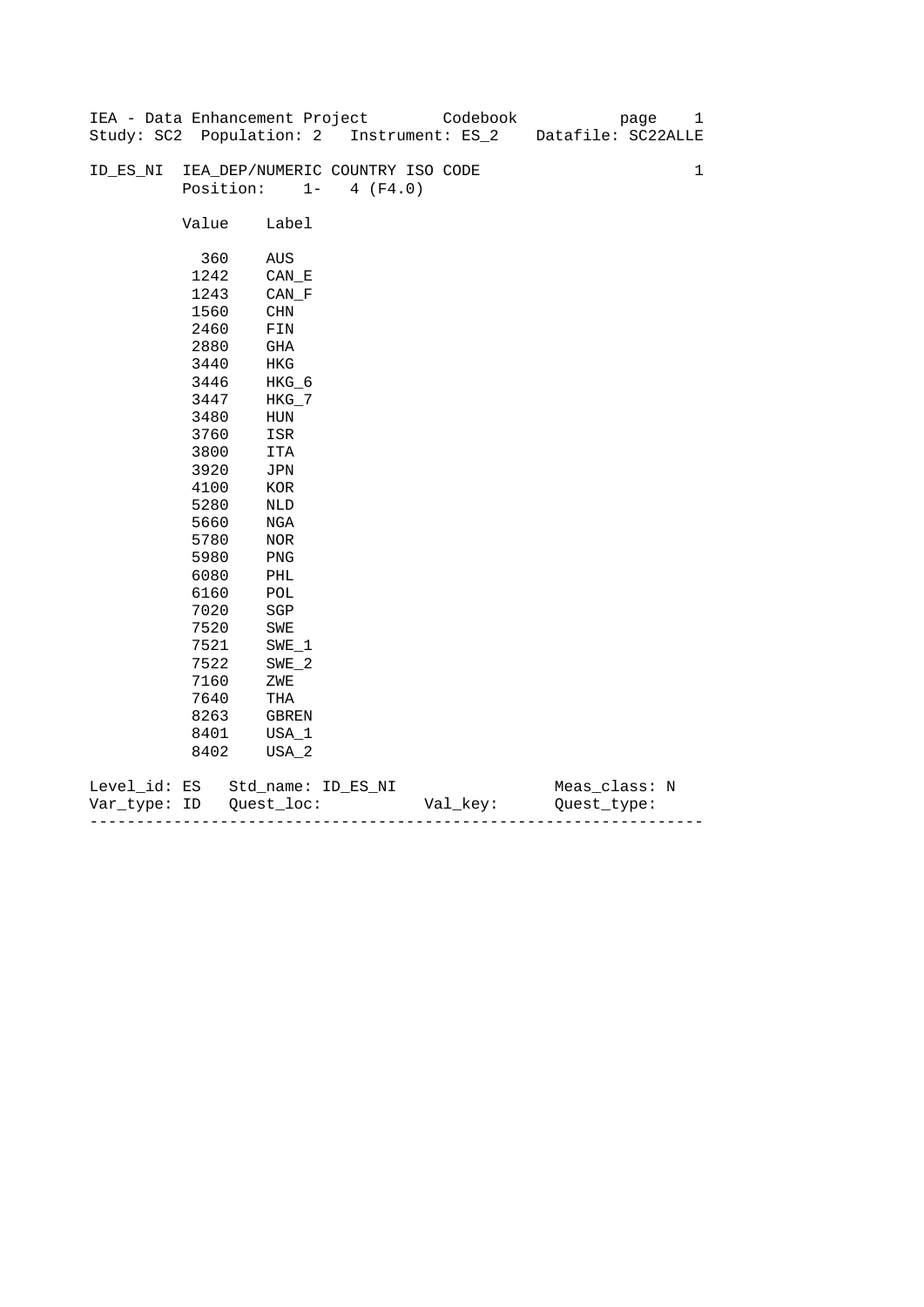|              |       | IEA - Data Enhancement Project   |                   | Codebook                                  | 1<br>page          |
|--------------|-------|----------------------------------|-------------------|-------------------------------------------|--------------------|
|              |       |                                  |                   | Study: SC2 Population: 2 Instrument: ES_2 | Datafile: SC22ALLE |
|              |       |                                  |                   |                                           |                    |
| ID_ES_NI     |       | IEA_DEP/NUMERIC COUNTRY ISO CODE |                   |                                           | $\mathbf{1}$       |
|              |       | Position:                        | $1 -$<br>4 (F4.0) |                                           |                    |
|              |       |                                  |                   |                                           |                    |
|              | Value | Label                            |                   |                                           |                    |
|              |       |                                  |                   |                                           |                    |
|              | 360   | AUS                              |                   |                                           |                    |
|              | 1242  | $CAN$ <sub><math>E</math></sub>  |                   |                                           |                    |
|              | 1243  | CAN F                            |                   |                                           |                    |
|              | 1560  | CHN                              |                   |                                           |                    |
|              | 2460  | FIN                              |                   |                                           |                    |
|              | 2880  | GHA                              |                   |                                           |                    |
|              | 3440  | HKG                              |                   |                                           |                    |
|              | 3446  | HKG_6                            |                   |                                           |                    |
|              | 3447  | $HKG_7$                          |                   |                                           |                    |
|              | 3480  | HUN                              |                   |                                           |                    |
|              | 3760  | ISR                              |                   |                                           |                    |
|              | 3800  | <b>ITA</b>                       |                   |                                           |                    |
|              | 3920  | JPN                              |                   |                                           |                    |
|              | 4100  | KOR                              |                   |                                           |                    |
|              | 5280  | NLD                              |                   |                                           |                    |
|              | 5660  | NGA                              |                   |                                           |                    |
|              | 5780  | NOR                              |                   |                                           |                    |
|              | 5980  | PNG                              |                   |                                           |                    |
|              | 6080  | PHL                              |                   |                                           |                    |
|              | 6160  | $\mathop{\rm POL}\nolimits$      |                   |                                           |                    |
|              | 7020  | SGP                              |                   |                                           |                    |
|              | 7520  | SWE                              |                   |                                           |                    |
|              | 7521  | $SWE_1$                          |                   |                                           |                    |
|              | 7522  | $SWE_2$                          |                   |                                           |                    |
|              | 7160  | ZWE                              |                   |                                           |                    |
|              | 7640  | THA                              |                   |                                           |                    |
|              | 8263  | GBREN                            |                   |                                           |                    |
|              | 8401  | USA_1                            |                   |                                           |                    |
|              | 8402  | USA_2                            |                   |                                           |                    |
|              |       |                                  |                   |                                           |                    |
| Level_id: ES |       | Std_name: ID_ES_NI               |                   |                                           | Meas_class: N      |

| Var<br>туре.<br>. | TΡ | $ -$ | - |
|-------------------|----|------|---|
|                   |    |      |   |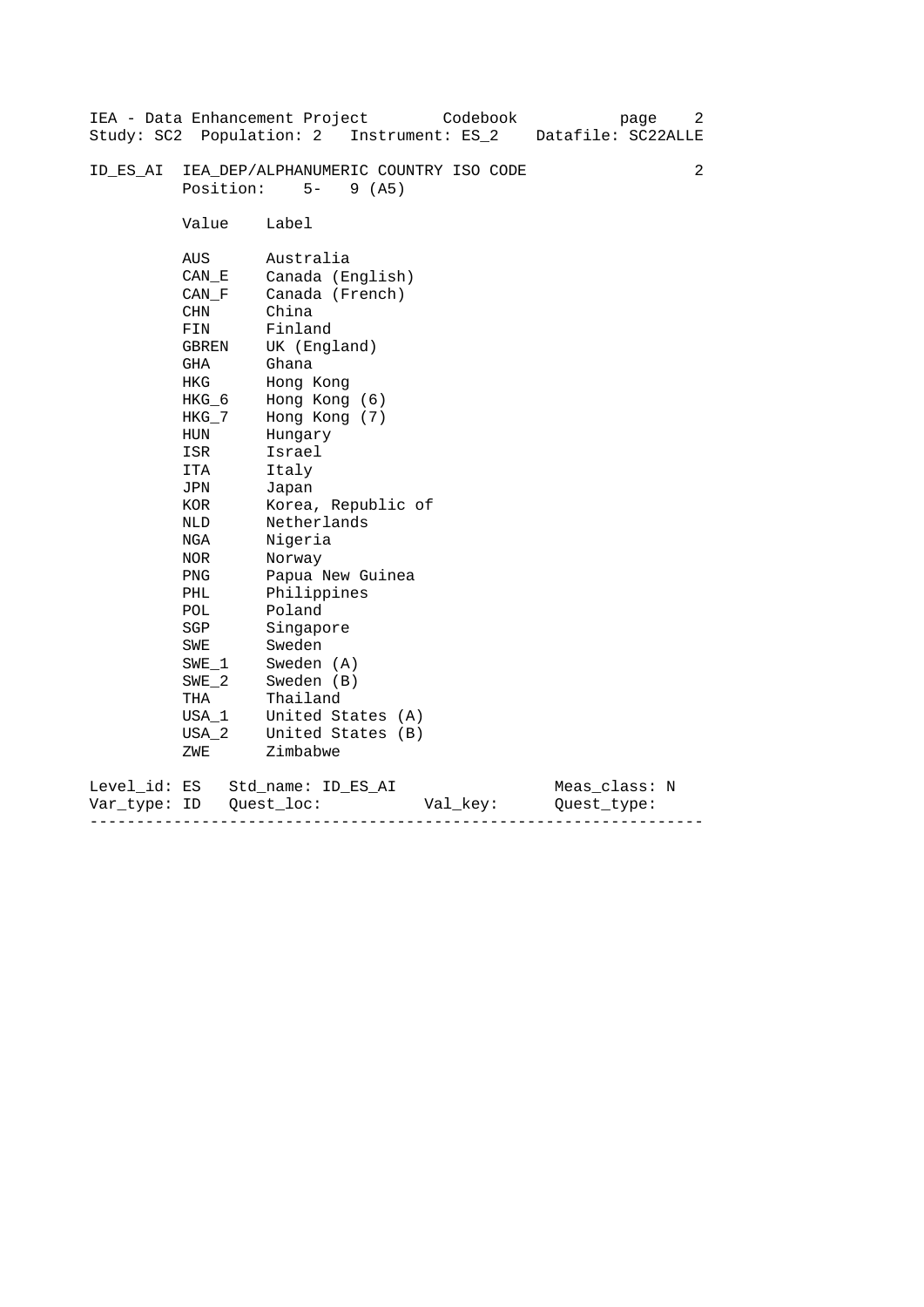|                           |                                                                                                                                                                                                                                               | IEA - Data Enhancement Project<br>Codebook                                                                                                                                                                                                                                                                                                                                                                      | 2<br>page          |
|---------------------------|-----------------------------------------------------------------------------------------------------------------------------------------------------------------------------------------------------------------------------------------------|-----------------------------------------------------------------------------------------------------------------------------------------------------------------------------------------------------------------------------------------------------------------------------------------------------------------------------------------------------------------------------------------------------------------|--------------------|
|                           |                                                                                                                                                                                                                                               | Study: SC2 Population: 2 Instrument: ES_2                                                                                                                                                                                                                                                                                                                                                                       | Datafile: SC22ALLE |
| ID ES AI                  | Position:                                                                                                                                                                                                                                     | IEA_DEP/ALPHANUMERIC COUNTRY ISO CODE<br>$5-$<br>9(AB)                                                                                                                                                                                                                                                                                                                                                          | 2                  |
|                           | Value                                                                                                                                                                                                                                         | Label                                                                                                                                                                                                                                                                                                                                                                                                           |                    |
|                           | AUS<br>CAN E<br>CAN F<br><b>CHN</b><br>FIN<br>GBREN<br>GHA<br>HKG<br>HKG 6<br>$HKG_7$<br>HUN<br>ISR<br>ITA<br>JPN<br>KOR<br>NLD<br>NGA<br>NOR<br><b>PNG</b><br>PHL<br>POL<br>SGP<br>SWE<br>SWE 1<br>$SWE_2$<br>THA<br>$USA_1$<br>USA 2<br>ZWE | Australia<br>Canada (English)<br>Canada (French)<br>China<br>Finland<br>UK (England)<br>Ghana<br>Hong Kong<br>Hong Kong (6)<br>Hong Kong (7)<br>Hungary<br>Israel<br>Italy<br>Japan<br>Korea, Republic of<br>Netherlands<br>Nigeria<br>Norway<br>Papua New Guinea<br>Philippines<br>Poland<br>Singapore<br>Sweden<br>Sweden (A)<br>Sweden (B)<br>Thailand<br>United States (A)<br>United States (B)<br>Zimbabwe |                    |
|                           |                                                                                                                                                                                                                                               |                                                                                                                                                                                                                                                                                                                                                                                                                 |                    |
| Level_id: ES<br>Var_type: | ID                                                                                                                                                                                                                                            | Std name: ID ES AI<br>Quest loc:<br>Val_key:<br>Ouest type:                                                                                                                                                                                                                                                                                                                                                     | Meas_class: N      |

------------------------------------------------------------------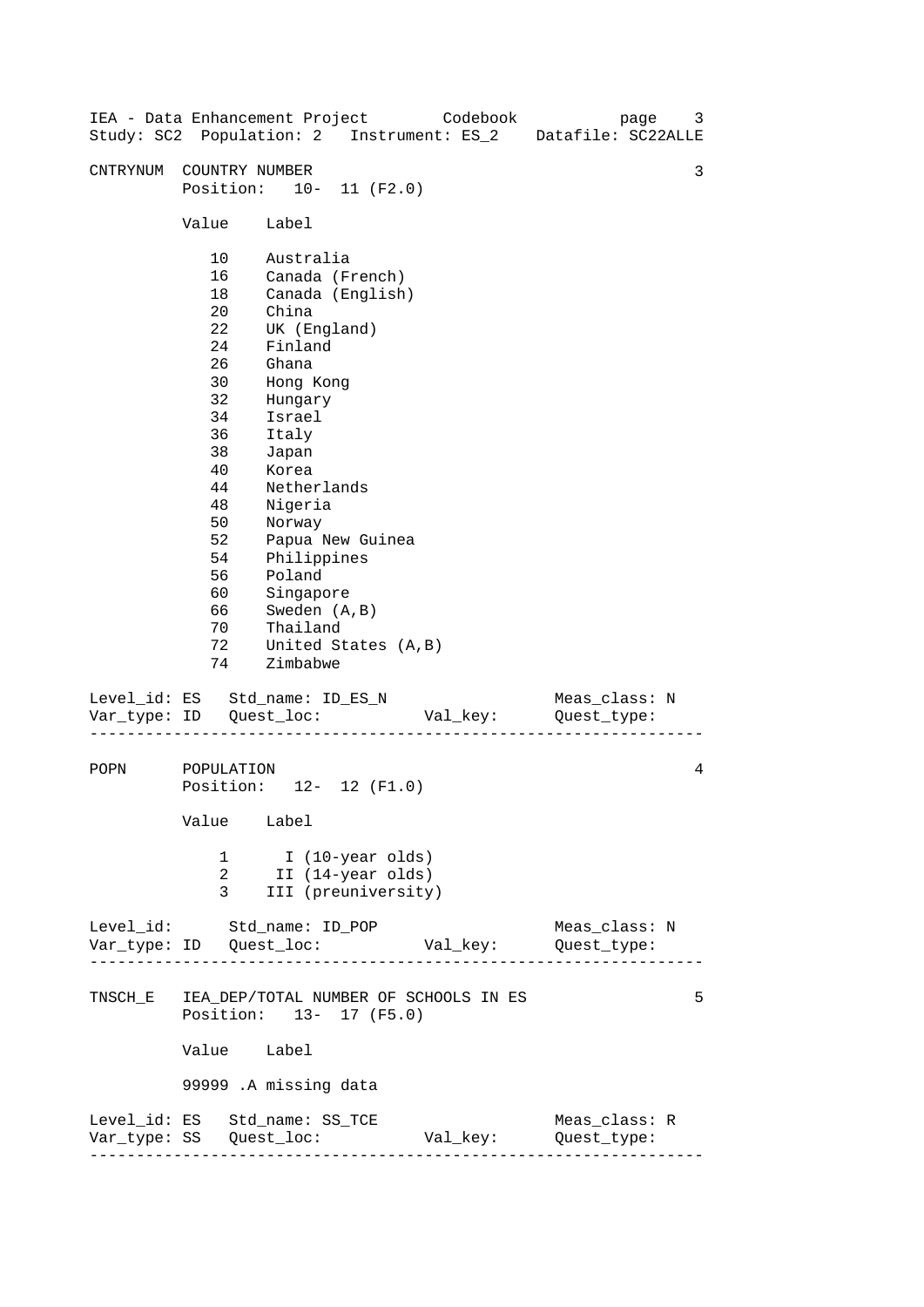| IEA - Data Enhancement Project Codebook       |                                                                                                                                  |                                                                                                                                                                                                                            |                                                         |          | Study: SC2 Population: 2 Instrument: ES_2 Datafile: SC22ALLE | page | 3 |
|-----------------------------------------------|----------------------------------------------------------------------------------------------------------------------------------|----------------------------------------------------------------------------------------------------------------------------------------------------------------------------------------------------------------------------|---------------------------------------------------------|----------|--------------------------------------------------------------|------|---|
| CNTRYNUM COUNTRY NUMBER                       | Position: 10- 11 (F2.0)                                                                                                          |                                                                                                                                                                                                                            |                                                         |          |                                                              |      | 3 |
|                                               | Value                                                                                                                            | Label                                                                                                                                                                                                                      |                                                         |          |                                                              |      |   |
|                                               | 10<br>16<br>18<br>20<br>22<br>24<br>26<br>30<br>32<br>34<br>36<br>38<br>40<br>44<br>48<br>50<br>52<br>54<br>56<br>60<br>66<br>70 | Australia<br>China<br>UK (England)<br>Finland<br>Ghana<br>Hong Kong<br>Hungary<br>Israel<br>Italy<br>Japan<br>Korea<br>Netherlands<br>Nigeria<br>Norway<br>Philippines<br>Poland<br>Singapore<br>Sweden (A, B)<br>Thailand | Canada (French)<br>Canada (English)<br>Papua New Guinea |          |                                                              |      |   |
|                                               | 72<br>74                                                                                                                         | United States (A, B)<br>Zimbabwe                                                                                                                                                                                           |                                                         |          |                                                              |      |   |
| Level_id: ES Std_name: ID_ES_N                |                                                                                                                                  |                                                                                                                                                                                                                            |                                                         |          | Meas_class: N                                                |      |   |
| POPN                                          | POPULATION<br>Position: 12- 12 (F1.0)<br>Value<br>1<br>2<br>3                                                                    | Label<br>I (10-year olds)<br>II (14-year olds)                                                                                                                                                                             | III (preuniversity)                                     |          |                                                              |      | 4 |
| Level_id: Std_name: ID_POP                    |                                                                                                                                  |                                                                                                                                                                                                                            |                                                         | Val_key: | Meas_class: N<br>Quest_type:                                 |      |   |
| TNSCH_E IEA_DEP/TOTAL NUMBER OF SCHOOLS IN ES | Position: 13- 17 (F5.0)<br>Value<br>99999 .A missing data                                                                        | Label                                                                                                                                                                                                                      |                                                         |          |                                                              |      | 5 |
| Level_id: ES Std_name: SS_TCE                 |                                                                                                                                  |                                                                                                                                                                                                                            |                                                         | Val_key: | Meas_class: R<br>Quest_type:                                 |      |   |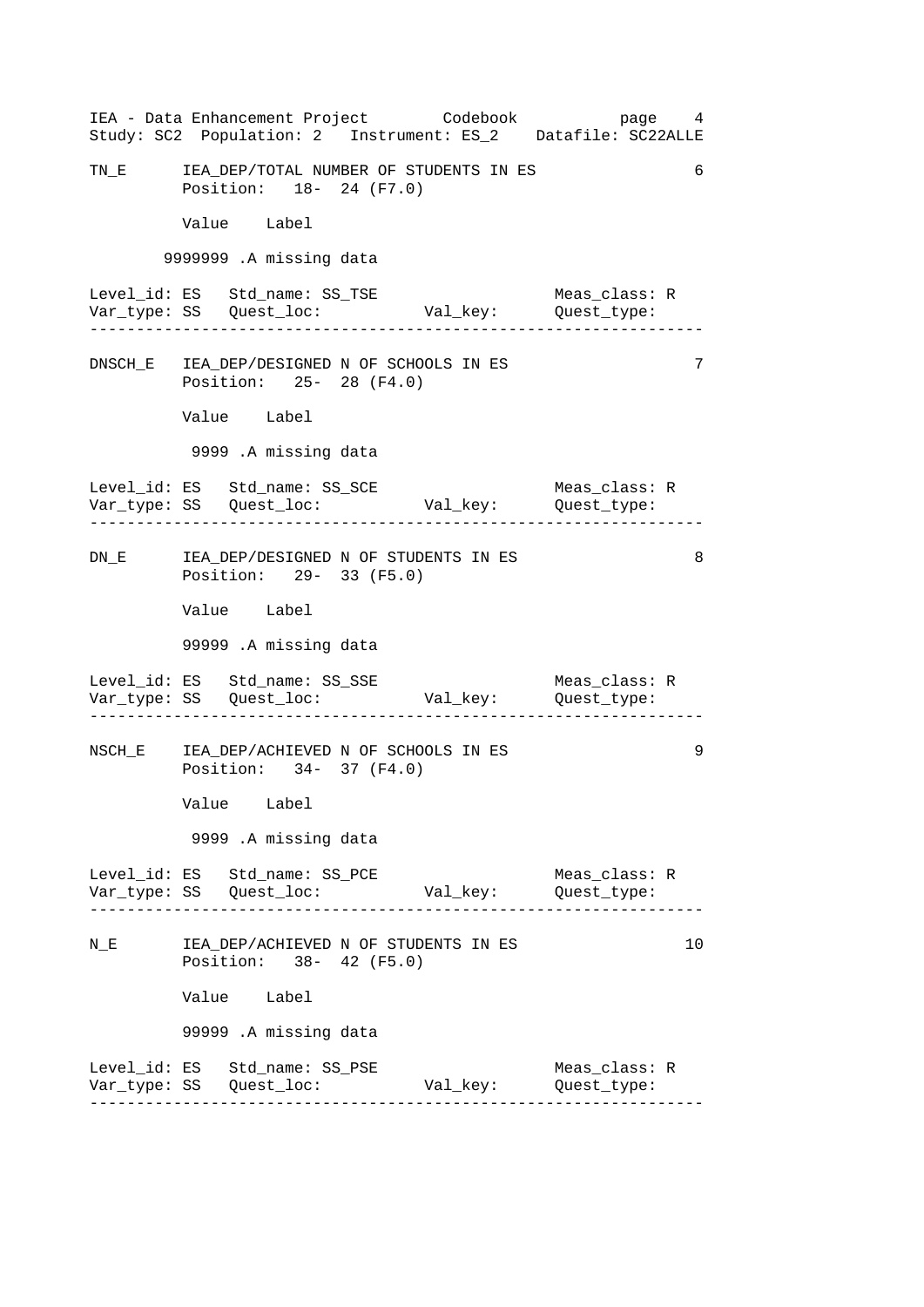------------------------------------------------------------------ ------------------------------------------------------------------ ------------------------------------------------------------------ ------------------------------------------------------------------ ------------------------------------------------------------------ 6 IEA - Data Enhancement Project Codebook page 4 Study: SC2 Population: 2 Instrument: ES\_2 Datafile: SC22ALLE TN\_E IEA\_DEP/TOTAL NUMBER OF STUDENTS IN ES Position: 18- 24 (F7.0) Value Label 9999999 .A missing data Level\_id: ES Std\_name: SS\_TSE Meas\_class: R Var\_type: SS Quest\_loc: Val\_key: Quest\_type: DNSCH\_E IEA\_DEP/DESIGNED N OF SCHOOLS IN ES 7 Position: 25- 28 (F4.0) Value Label 9999 .A missing data Level\_id: ES Std\_name: SS\_SCE Meas\_class: R Var\_type: SS Quest\_loc: Val\_key: Quest\_type: DN\_E IEA\_DEP/DESIGNED N OF STUDENTS IN ES 8 Position: 29- 33 (F5.0) Value Label 99999 .A missing data Level\_id: ES Std\_name: SS\_SSE Meas\_class: R Var\_type: SS Quest\_loc: Val\_key: Quest\_type: NSCH\_E IEA\_DEP/ACHIEVED N OF SCHOOLS IN ES 9 Position: 34- 37 (F4.0) Value Label 9999 .A missing data Level\_id: ES Std\_name: SS\_PCE Meas\_class: R Var\_type: SS Quest\_loc: Val\_key: Quest\_type: N\_E TEA\_DEP/ACHIEVED N OF STUDENTS IN ES 10 10 Position: 38- 42 (F5.0) Value Label 99999 .A missing data Level\_id: ES Std\_name: SS\_PSE Meas\_class: R Var\_type: SS Quest\_loc: Val\_key: Quest\_type: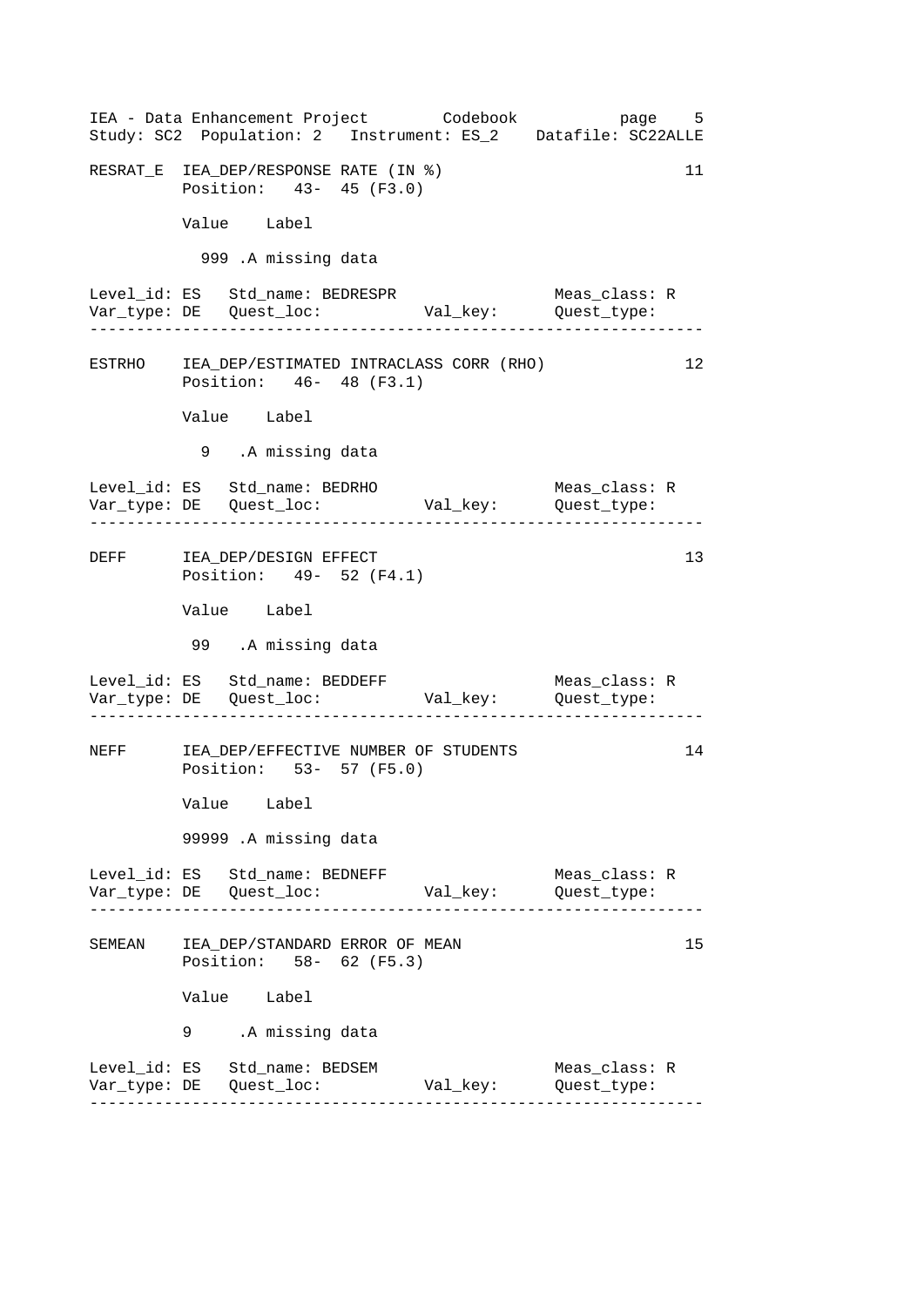------------------------------------------------------------------ ------------------------------------------------------------------ ------------------------------------------------------------------ ------------------------------------------------------------------ ------------------------------------------------------------------ IEA - Data Enhancement Project Codebook page 5 Study: SC2 Population: 2 Instrument: ES\_2 Datafile: SC22ALLE RESRAT\_E IEA\_DEP/RESPONSE RATE (IN %) 11 Position: 43- 45 (F3.0) Value Label 999 .A missing data Level\_id: ES Std\_name: BEDRESPR Meas\_class: R Var\_type: DE Quest\_loc: Val\_key: Quest\_type: ESTRHO IEA\_DEP/ESTIMATED INTRACLASS CORR (RHO) 12 Position: 46- 48 (F3.1) Value Label 9 .A missing data Level\_id: ES Std\_name: BEDRHO Meas\_class: R Var\_type: DE Quest\_loc: Val\_key: Quest\_type: DEFF IEA\_DEP/DESIGN EFFECT 13 Position: 49- 52 (F4.1) Value Label 99 .A missing data Level\_id: ES Std\_name: BEDDEFF Meas\_class: R Var\_type: DE Quest\_loc: Val\_key: Quest\_type: NEFF IEA\_DEP/EFFECTIVE NUMBER OF STUDENTS 14 Position: 53- 57 (F5.0) Value Label 99999 .A missing data Level\_id: ES Std\_name: BEDNEFF Meas\_class: R Var\_type: DE Quest\_loc: Val\_key: Quest\_type: SEMEAN IEA DEP/STANDARD ERROR OF MEAN Position: 58- 62 (F5.3) Value Label .A missing data 9 Level\_id: ES Std\_name: BEDSEM Meas\_class: R Var\_type: DE Quest\_loc: Val\_key: Quest\_type: 15